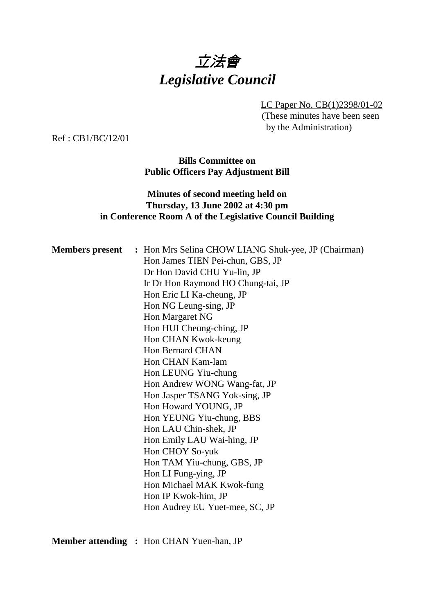

LC Paper No. CB(1)2398/01-02 (These minutes have been seen by the Administration)

Ref : CB1/BC/12/01

**Bills Committee on Public Officers Pay Adjustment Bill**

## **Minutes of second meeting held on Thursday, 13 June 2002 at 4:30 pm in Conference Room A of the Legislative Council Building**

| <b>Members present</b> : Hon Mrs Selina CHOW LIANG Shuk-yee, JP (Chairman) |
|----------------------------------------------------------------------------|
| Hon James TIEN Pei-chun, GBS, JP                                           |
| Dr Hon David CHU Yu-lin, JP                                                |
| Ir Dr Hon Raymond HO Chung-tai, JP                                         |
| Hon Eric LI Ka-cheung, JP                                                  |
| Hon NG Leung-sing, JP                                                      |
| Hon Margaret NG                                                            |
| Hon HUI Cheung-ching, JP                                                   |
| Hon CHAN Kwok-keung                                                        |
| Hon Bernard CHAN                                                           |
| Hon CHAN Kam-lam                                                           |
| Hon LEUNG Yiu-chung                                                        |
| Hon Andrew WONG Wang-fat, JP                                               |
| Hon Jasper TSANG Yok-sing, JP                                              |
| Hon Howard YOUNG, JP                                                       |
| Hon YEUNG Yiu-chung, BBS                                                   |
| Hon LAU Chin-shek, JP                                                      |
| Hon Emily LAU Wai-hing, JP                                                 |
| Hon CHOY So-yuk                                                            |
| Hon TAM Yiu-chung, GBS, JP                                                 |
| Hon LI Fung-ying, JP                                                       |
| Hon Michael MAK Kwok-fung                                                  |
| Hon IP Kwok-him, JP                                                        |
| Hon Audrey EU Yuet-mee, SC, JP                                             |
|                                                                            |

**Member attending :** Hon CHAN Yuen-han, JP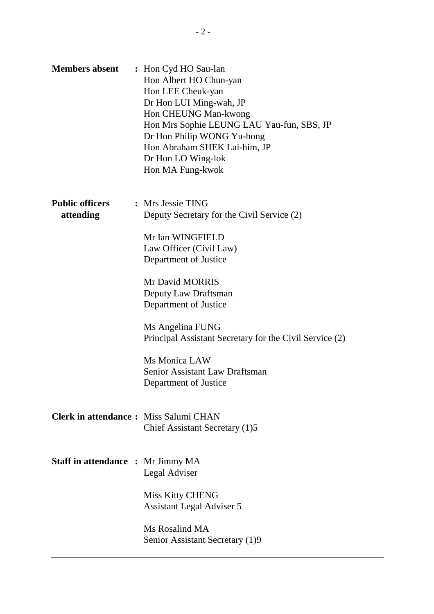| <b>Members absent</b>                        | : Hon Cyd HO Sau-lan<br>Hon Albert HO Chun-yan<br>Hon LEE Cheuk-yan<br>Dr Hon LUI Ming-wah, JP<br>Hon CHEUNG Man-kwong<br>Hon Mrs Sophie LEUNG LAU Yau-fun, SBS, JP<br>Dr Hon Philip WONG Yu-hong<br>Hon Abraham SHEK Lai-him, JP<br>Dr Hon LO Wing-lok<br>Hon MA Fung-kwok |
|----------------------------------------------|-----------------------------------------------------------------------------------------------------------------------------------------------------------------------------------------------------------------------------------------------------------------------------|
| <b>Public officers</b><br>attending          | : Mrs Jessie TING<br>Deputy Secretary for the Civil Service (2)                                                                                                                                                                                                             |
|                                              | Mr Ian WINGFIELD<br>Law Officer (Civil Law)<br>Department of Justice                                                                                                                                                                                                        |
|                                              | Mr David MORRIS<br>Deputy Law Draftsman<br>Department of Justice                                                                                                                                                                                                            |
|                                              | Ms Angelina FUNG<br>Principal Assistant Secretary for the Civil Service (2)                                                                                                                                                                                                 |
|                                              | Ms Monica LAW<br>Senior Assistant Law Draftsman<br>Department of Justice                                                                                                                                                                                                    |
| <b>Clerk in attendance:</b> Miss Salumi CHAN | Chief Assistant Secretary (1)5                                                                                                                                                                                                                                              |
| <b>Staff in attendance : Mr Jimmy MA</b>     | Legal Adviser                                                                                                                                                                                                                                                               |
|                                              | <b>Miss Kitty CHENG</b><br><b>Assistant Legal Adviser 5</b>                                                                                                                                                                                                                 |
|                                              | Ms Rosalind MA<br>Senior Assistant Secretary (1)9                                                                                                                                                                                                                           |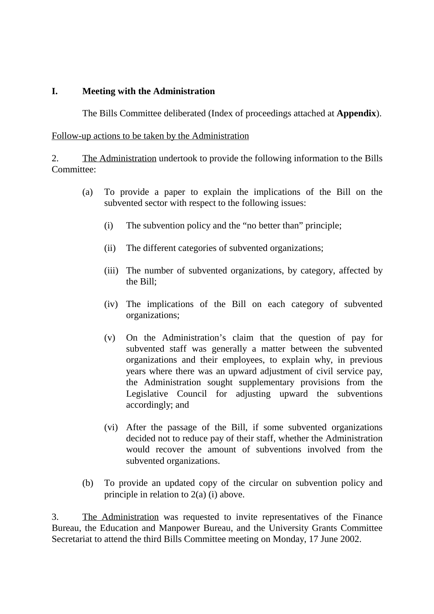## **I. Meeting with the Administration**

The Bills Committee deliberated (Index of proceedings attached at **Appendix**).

### Follow-up actions to be taken by the Administration

2. The Administration undertook to provide the following information to the Bills Committee:

- (a) To provide a paper to explain the implications of the Bill on the subvented sector with respect to the following issues:
	- (i) The subvention policy and the "no better than" principle;
	- (ii) The different categories of subvented organizations;
	- (iii) The number of subvented organizations, by category, affected by the Bill;
	- (iv) The implications of the Bill on each category of subvented organizations;
	- (v) On the Administration's claim that the question of pay for subvented staff was generally a matter between the subvented organizations and their employees, to explain why, in previous years where there was an upward adjustment of civil service pay, the Administration sought supplementary provisions from the Legislative Council for adjusting upward the subventions accordingly; and
	- (vi) After the passage of the Bill, if some subvented organizations decided not to reduce pay of their staff, whether the Administration would recover the amount of subventions involved from the subvented organizations.
- (b) To provide an updated copy of the circular on subvention policy and principle in relation to 2(a) (i) above.

3. The Administration was requested to invite representatives of the Finance Bureau, the Education and Manpower Bureau, and the University Grants Committee Secretariat to attend the third Bills Committee meeting on Monday, 17 June 2002.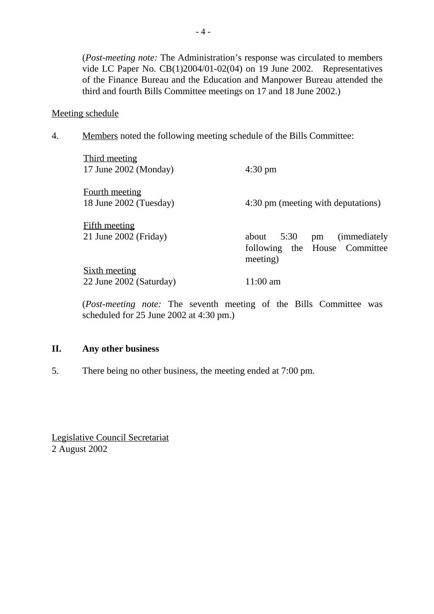(*Post-meeting note:* The Administration's response was circulated to members vide LC Paper No. CB(1)2004/01-02(04) on 19 June 2002. Representatives of the Finance Bureau and the Education and Manpower Bureau attended the third and fourth Bills Committee meetings on 17 and 18 June 2002.)

### Meeting schedule

4. Members noted the following meeting schedule of the Bills Committee:

| Third meeting<br>17 June $2002$ (Monday)          | $4:30 \text{ pm}$                                                       |
|---------------------------------------------------|-------------------------------------------------------------------------|
| <b>Fourth meeting</b><br>18 June 2002 (Tuesday)   | 4:30 pm (meeting with deputations)                                      |
| <b>Fifth meeting</b><br>$21$ June $2002$ (Friday) | about 5:30 pm (immediately<br>following the House Committee<br>meeting) |
| <u>Sixth meeting</u><br>22 June 2002 (Saturday)   | $11:00 \text{ am}$                                                      |

(*Post-meeting note:* The seventh meeting of the Bills Committee was scheduled for 25 June 2002 at 4:30 pm.)

#### **II. Any other business**

5. There being no other business, the meeting ended at 7:00 pm.

Legislative Council Secretariat 2 August 2002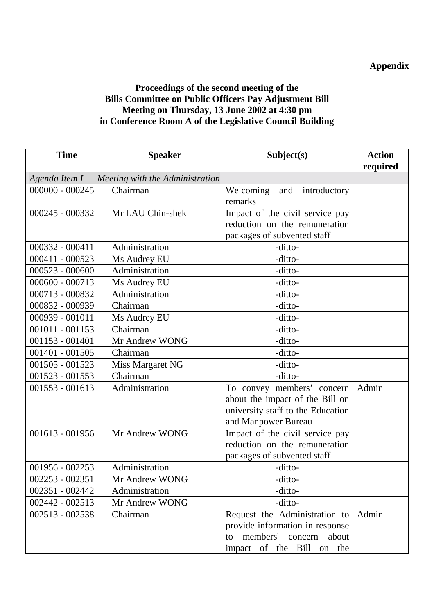# **Appendix**

## **Proceedings of the second meeting of the Bills Committee on Public Officers Pay Adjustment Bill Meeting on Thursday, 13 June 2002 at 4:30 pm in Conference Room A of the Legislative Council Building**

| <b>Time</b>                                     | <b>Speaker</b>   | Subject(s)                        | <b>Action</b> |
|-------------------------------------------------|------------------|-----------------------------------|---------------|
|                                                 |                  |                                   | required      |
| Agenda Item I - Meeting with the Administration |                  |                                   |               |
| $000000 - 000245$                               | Chairman         | Welcoming<br>and<br>introductory  |               |
|                                                 |                  | remarks                           |               |
| $000245 - 000332$                               | Mr LAU Chin-shek | Impact of the civil service pay   |               |
|                                                 |                  | reduction on the remuneration     |               |
|                                                 |                  | packages of subvented staff       |               |
| $000332 - 000411$                               | Administration   | -ditto-                           |               |
| 000411 - 000523                                 | Ms Audrey EU     | -ditto-                           |               |
| $000523 - 000600$                               | Administration   | -ditto-                           |               |
| $000600 - 000713$                               | Ms Audrey EU     | -ditto-                           |               |
| 000713 - 000832                                 | Administration   | -ditto-                           |               |
| 000832 - 000939                                 | Chairman         | -ditto-                           |               |
| 000939 - 001011                                 | Ms Audrey EU     | -ditto-                           |               |
| $001011 - 001153$                               | Chairman         | -ditto-                           |               |
| $001153 - 001401$                               | Mr Andrew WONG   | -ditto-                           |               |
| $001401 - 001505$                               | Chairman         | -ditto-                           |               |
| 001505 - 001523                                 | Miss Margaret NG | -ditto-                           |               |
| 001523 - 001553                                 | Chairman         | -ditto-                           |               |
| $001553 - 001613$                               | Administration   | To convey members' concern        | Admin         |
|                                                 |                  | about the impact of the Bill on   |               |
|                                                 |                  | university staff to the Education |               |
|                                                 |                  | and Manpower Bureau               |               |
| $001613 - 001956$                               | Mr Andrew WONG   | Impact of the civil service pay   |               |
|                                                 |                  | reduction on the remuneration     |               |
|                                                 |                  | packages of subvented staff       |               |
| 001956 - 002253                                 | Administration   | -ditto-                           |               |
| $002253 - 002351$                               | Mr Andrew WONG   | -ditto-                           |               |
| 002351 - 002442                                 | Administration   | -ditto-                           |               |
| 002442 - 002513                                 | Mr Andrew WONG   | -ditto-                           |               |
| 002513 - 002538                                 | Chairman         | Request the Administration to     | Admin         |
|                                                 |                  | provide information in response   |               |
|                                                 |                  | members' concern<br>about<br>to   |               |
|                                                 |                  | impact of the Bill on the         |               |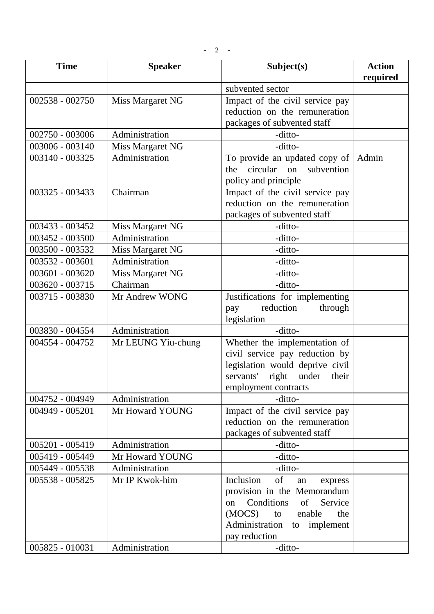| <b>Time</b>     | <b>Speaker</b>     | Subject(s)                                                                                                                                                                                          | <b>Action</b><br>required |
|-----------------|--------------------|-----------------------------------------------------------------------------------------------------------------------------------------------------------------------------------------------------|---------------------------|
|                 |                    | subvented sector                                                                                                                                                                                    |                           |
| 002538 - 002750 | Miss Margaret NG   | Impact of the civil service pay<br>reduction on the remuneration<br>packages of subvented staff                                                                                                     |                           |
| 002750 - 003006 | Administration     | -ditto-                                                                                                                                                                                             |                           |
| 003006 - 003140 | Miss Margaret NG   | -ditto-                                                                                                                                                                                             |                           |
| 003140 - 003325 | Administration     | To provide an updated copy of<br>circular on<br>subvention<br>the<br>policy and principle                                                                                                           | Admin                     |
| 003325 - 003433 | Chairman           | Impact of the civil service pay<br>reduction on the remuneration<br>packages of subvented staff                                                                                                     |                           |
| 003433 - 003452 | Miss Margaret NG   | -ditto-                                                                                                                                                                                             |                           |
| 003452 - 003500 | Administration     | -ditto-                                                                                                                                                                                             |                           |
| 003500 - 003532 | Miss Margaret NG   | -ditto-                                                                                                                                                                                             |                           |
| 003532 - 003601 | Administration     | -ditto-                                                                                                                                                                                             |                           |
| 003601 - 003620 | Miss Margaret NG   | -ditto-                                                                                                                                                                                             |                           |
| 003620 - 003715 | Chairman           | -ditto-                                                                                                                                                                                             |                           |
| 003715 - 003830 | Mr Andrew WONG     | Justifications for implementing<br>reduction<br>through<br>pay<br>legislation                                                                                                                       |                           |
| 003830 - 004554 | Administration     | -ditto-                                                                                                                                                                                             |                           |
| 004554 - 004752 | Mr LEUNG Yiu-chung | Whether the implementation of<br>civil service pay reduction by<br>legislation would deprive civil<br>servants' right under<br>their<br>employment contracts                                        |                           |
| 004752 - 004949 | Administration     | -ditto-                                                                                                                                                                                             |                           |
| 004949 - 005201 | Mr Howard YOUNG    | Impact of the civil service pay<br>reduction on the remuneration<br>packages of subvented staff                                                                                                     |                           |
| 005201 - 005419 | Administration     | -ditto-                                                                                                                                                                                             |                           |
| 005419 - 005449 | Mr Howard YOUNG    | -ditto-                                                                                                                                                                                             |                           |
| 005449 - 005538 | Administration     | -ditto-                                                                                                                                                                                             |                           |
| 005538 - 005825 | Mr IP Kwok-him     | of<br>Inclusion<br>an<br>express<br>provision in the Memorandum<br>Conditions<br>of<br>Service<br><sub>on</sub><br>(MOCS)<br>enable<br>the<br>to<br>Administration to<br>implement<br>pay reduction |                           |
| 005825 - 010031 | Administration     | -ditto-                                                                                                                                                                                             |                           |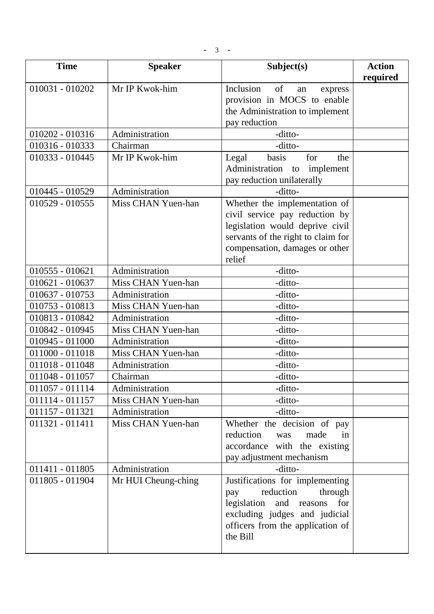$- 3 -$ 

| <b>Time</b>       | <b>Speaker</b>      | Subject(s)                                                           | <b>Action</b> |
|-------------------|---------------------|----------------------------------------------------------------------|---------------|
| $010031 - 010202$ | Mr IP Kwok-him      | Inclusion<br>of<br>express<br>an                                     | required      |
|                   |                     | provision in MOCS to enable                                          |               |
|                   |                     | the Administration to implement                                      |               |
|                   |                     | pay reduction                                                        |               |
| 010202 - 010316   | Administration      | -ditto-                                                              |               |
| 010316 - 010333   | Chairman            | -ditto-                                                              |               |
| 010333 - 010445   | Mr IP Kwok-him      | basis<br>Legal<br>for<br>the                                         |               |
|                   |                     | Administration to<br>implement                                       |               |
|                   |                     | pay reduction unilaterally                                           |               |
| 010445 - 010529   | Administration      | -ditto-                                                              |               |
| $010529 - 010555$ | Miss CHAN Yuen-han  | Whether the implementation of                                        |               |
|                   |                     | civil service pay reduction by                                       |               |
|                   |                     | legislation would deprive civil                                      |               |
|                   |                     | servants of the right to claim for<br>compensation, damages or other |               |
|                   |                     | relief                                                               |               |
| $010555 - 010621$ | Administration      | -ditto-                                                              |               |
| 010621 - 010637   | Miss CHAN Yuen-han  | -ditto-                                                              |               |
| 010637 - 010753   | Administration      | -ditto-                                                              |               |
| 010753 - 010813   | Miss CHAN Yuen-han  | -ditto-                                                              |               |
| 010813 - 010842   | Administration      | -ditto-                                                              |               |
| 010842 - 010945   | Miss CHAN Yuen-han  | -ditto-                                                              |               |
| 010945 - 011000   | Administration      | -ditto-                                                              |               |
| 011000 - 011018   | Miss CHAN Yuen-han  | -ditto-                                                              |               |
| 011018 - 011048   | Administration      | -ditto-                                                              |               |
| 011048 - 011057   | Chairman            | -ditto-                                                              |               |
| 011057 - 011114   | Administration      | -ditto-                                                              |               |
| 011114 - 011157   | Miss CHAN Yuen-han  | -ditto-                                                              |               |
| 011157 - 011321   | Administration      | -ditto-                                                              |               |
| 011321 - 011411   | Miss CHAN Yuen-han  | Whether the decision of pay                                          |               |
|                   |                     | reduction<br>made<br>was<br>in                                       |               |
|                   |                     | accordance with the existing                                         |               |
|                   |                     | pay adjustment mechanism                                             |               |
| 011411 - 011805   | Administration      | -ditto-                                                              |               |
| 011805 - 011904   | Mr HUI Cheung-ching | Justifications for implementing                                      |               |
|                   |                     | reduction<br>through<br>pay                                          |               |
|                   |                     | legislation<br>and reasons<br>for                                    |               |
|                   |                     | excluding judges and judicial                                        |               |
|                   |                     | officers from the application of<br>the Bill                         |               |
|                   |                     |                                                                      |               |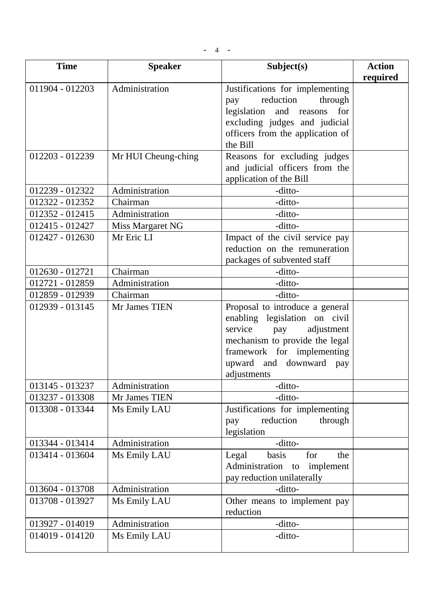$- 4 - -$ 

| <b>Time</b>     | <b>Speaker</b>      | Subject(s)                                                                                                                                                                                                 | <b>Action</b><br>required |
|-----------------|---------------------|------------------------------------------------------------------------------------------------------------------------------------------------------------------------------------------------------------|---------------------------|
| 011904 - 012203 | Administration      | Justifications for implementing<br>reduction<br>through<br>pay<br>legislation<br>and reasons<br>for<br>excluding judges and judicial<br>officers from the application of<br>the Bill                       |                           |
| 012203 - 012239 | Mr HUI Cheung-ching | Reasons for excluding judges<br>and judicial officers from the<br>application of the Bill                                                                                                                  |                           |
| 012239 - 012322 | Administration      | -ditto-                                                                                                                                                                                                    |                           |
| 012322 - 012352 | Chairman            | -ditto-                                                                                                                                                                                                    |                           |
| 012352 - 012415 | Administration      | -ditto-                                                                                                                                                                                                    |                           |
| 012415 - 012427 | Miss Margaret NG    | -ditto-                                                                                                                                                                                                    |                           |
| 012427 - 012630 | Mr Eric LI          | Impact of the civil service pay<br>reduction on the remuneration<br>packages of subvented staff                                                                                                            |                           |
| 012630 - 012721 | Chairman            | -ditto-                                                                                                                                                                                                    |                           |
| 012721 - 012859 | Administration      | -ditto-                                                                                                                                                                                                    |                           |
| 012859 - 012939 | Chairman            | -ditto-                                                                                                                                                                                                    |                           |
| 012939 - 013145 | Mr James TIEN       | Proposal to introduce a general<br>enabling legislation on civil<br>service<br>adjustment<br>pay<br>mechanism to provide the legal<br>framework for implementing<br>upward and downward pay<br>adjustments |                           |
| 013145 - 013237 | Administration      | -ditto-                                                                                                                                                                                                    |                           |
| 013237 - 013308 | Mr James TIEN       | -ditto-                                                                                                                                                                                                    |                           |
| 013308 - 013344 | Ms Emily LAU        | Justifications for implementing<br>reduction<br>through<br>pay<br>legislation                                                                                                                              |                           |
| 013344 - 013414 | Administration      | -ditto-                                                                                                                                                                                                    |                           |
| 013414 - 013604 | Ms Emily LAU        | basis<br>for<br>the<br>Legal<br>Administration<br>implement<br>to<br>pay reduction unilaterally                                                                                                            |                           |
| 013604 - 013708 | Administration      | -ditto-                                                                                                                                                                                                    |                           |
| 013708 - 013927 | Ms Emily LAU        | Other means to implement pay<br>reduction                                                                                                                                                                  |                           |
| 013927 - 014019 | Administration      | -ditto-                                                                                                                                                                                                    |                           |
| 014019 - 014120 | Ms Emily LAU        | -ditto-                                                                                                                                                                                                    |                           |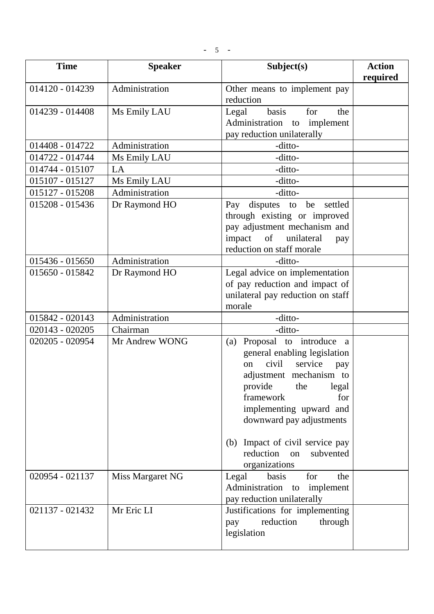| <b>Time</b>     | <b>Speaker</b>   | Subject(s)                                                                                                                                                                                                                                                                                                           | <b>Action</b><br>required |
|-----------------|------------------|----------------------------------------------------------------------------------------------------------------------------------------------------------------------------------------------------------------------------------------------------------------------------------------------------------------------|---------------------------|
| 014120 - 014239 | Administration   | Other means to implement pay<br>reduction                                                                                                                                                                                                                                                                            |                           |
| 014239 - 014408 | Ms Emily LAU     | basis<br>for<br>Legal<br>the<br>Administration to implement<br>pay reduction unilaterally                                                                                                                                                                                                                            |                           |
| 014408 - 014722 | Administration   | -ditto-                                                                                                                                                                                                                                                                                                              |                           |
| 014722 - 014744 | Ms Emily LAU     | -ditto-                                                                                                                                                                                                                                                                                                              |                           |
| 014744 - 015107 | LA               | -ditto-                                                                                                                                                                                                                                                                                                              |                           |
| 015107 - 015127 | Ms Emily LAU     | -ditto-                                                                                                                                                                                                                                                                                                              |                           |
| 015127 - 015208 | Administration   | -ditto-                                                                                                                                                                                                                                                                                                              |                           |
| 015208 - 015436 | Dr Raymond HO    | disputes to be settled<br>Pay<br>through existing or improved<br>pay adjustment mechanism and<br>of unilateral<br>impact<br>pay<br>reduction on staff morale                                                                                                                                                         |                           |
| 015436 - 015650 | Administration   | -ditto-                                                                                                                                                                                                                                                                                                              |                           |
| 015650 - 015842 | Dr Raymond HO    | Legal advice on implementation<br>of pay reduction and impact of<br>unilateral pay reduction on staff<br>morale                                                                                                                                                                                                      |                           |
| 015842 - 020143 | Administration   | -ditto-                                                                                                                                                                                                                                                                                                              |                           |
| 020143 - 020205 | Chairman         | -ditto-                                                                                                                                                                                                                                                                                                              |                           |
| 020205 - 020954 | Mr Andrew WONG   | Proposal to introduce a<br>(a)<br>general enabling legislation<br>civil<br>service<br>on<br>pay<br>adjustment mechanism to<br>provide the<br>legal<br>framework<br>for<br>implementing upward and<br>downward pay adjustments<br>Impact of civil service pay<br>(b)<br>reduction<br>subvented<br>on<br>organizations |                           |
| 020954 - 021137 | Miss Margaret NG | basis<br>Legal<br>for<br>the<br>Administration<br>to implement<br>pay reduction unilaterally                                                                                                                                                                                                                         |                           |
| 021137 - 021432 | Mr Eric LI       | Justifications for implementing<br>reduction<br>through<br>pay<br>legislation                                                                                                                                                                                                                                        |                           |